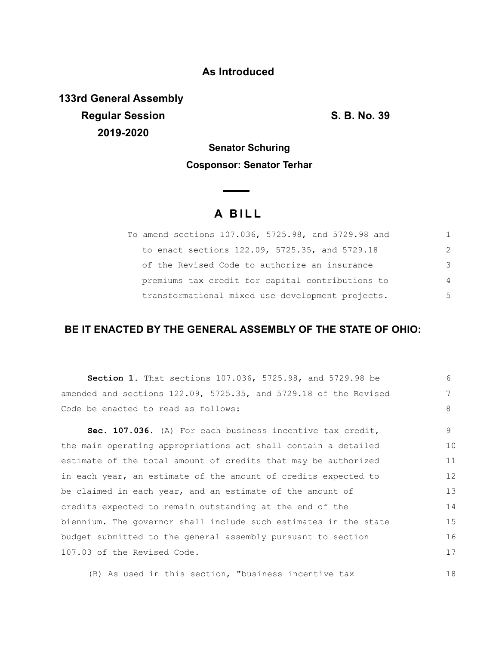## **As Introduced**

**133rd General Assembly Regular Session S. B. No. 39 2019-2020**

## **Senator Schuring Cosponsor: Senator Terhar**

 $\overline{\phantom{a}}$ 

## **A B I L L**

| To amend sections 107.036, 5725.98, and 5729.98 and | 1             |
|-----------------------------------------------------|---------------|
| to enact sections 122.09, 5725.35, and 5729.18      | $\mathcal{L}$ |
| of the Revised Code to authorize an insurance       | 3             |
| premiums tax credit for capital contributions to    | 4             |
| transformational mixed use development projects.    | 5             |

## **BE IT ENACTED BY THE GENERAL ASSEMBLY OF THE STATE OF OHIO:**

| Section 1. That sections 107.036, 5725.98, and 5729.98 be                | 6  |
|--------------------------------------------------------------------------|----|
| amended and sections $122.09$ , $5725.35$ , and $5729.18$ of the Revised | 7  |
| Code be enacted to read as follows:                                      | 8  |
| Sec. 107.036. (A) For each business incentive tax credit,                | 9  |
| the main operating appropriations act shall contain a detailed           | 10 |
| estimate of the total amount of credits that may be authorized           | 11 |
| in each year, an estimate of the amount of credits expected to           | 12 |
| be claimed in each year, and an estimate of the amount of                | 13 |
| credits expected to remain outstanding at the end of the                 | 14 |
| biennium. The governor shall include such estimates in the state         | 15 |
| budget submitted to the general assembly pursuant to section             | 16 |
| 107.03 of the Revised Code.                                              | 17 |

(B) As used in this section, "business incentive tax 18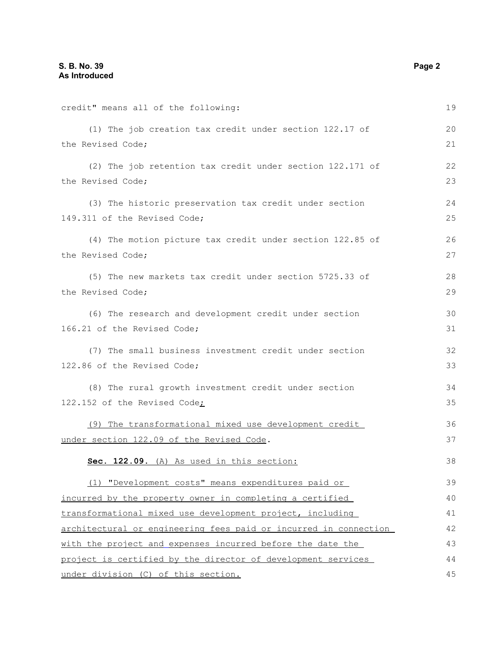credit" means all of the following: (1) The job creation tax credit under section 122.17 of the Revised Code; (2) The job retention tax credit under section 122.171 of the Revised Code; (3) The historic preservation tax credit under section 149.311 of the Revised Code; (4) The motion picture tax credit under section 122.85 of the Revised Code; (5) The new markets tax credit under section 5725.33 of the Revised Code; (6) The research and development credit under section 166.21 of the Revised Code; (7) The small business investment credit under section 122.86 of the Revised Code; (8) The rural growth investment credit under section 122.152 of the Revised Code; (9) The transformational mixed use development credit under section 122.09 of the Revised Code. **Sec. 122.09.** (A) As used in this section: (1) "Development costs" means expenditures paid or incurred by the property owner in completing a certified transformational mixed use development project, including architectural or engineering fees paid or incurred in connection with the project and expenses incurred before the date the project is certified by the director of development services under division (C) of this section. 19 20 21 22 23 24 25 26 27 28 29 30 31 32 33 34 35 36 37 38 39 40 41 42 43 44 45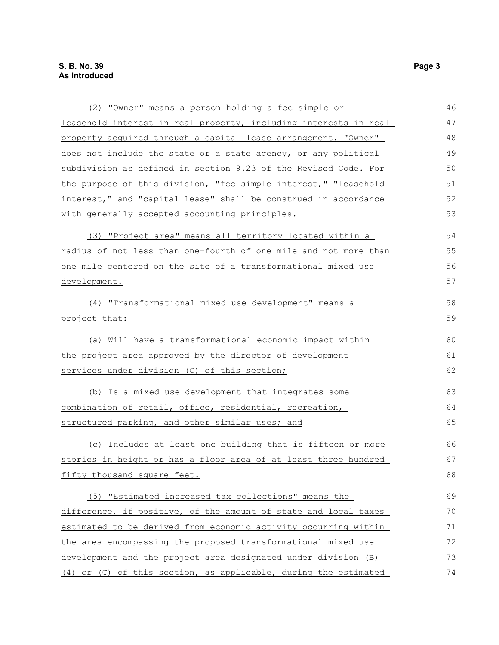| (2) "Owner" means a person holding a fee simple or               | 46 |
|------------------------------------------------------------------|----|
| leasehold interest in real property, including interests in real | 47 |
| property acquired through a capital lease arrangement. "Owner"   | 48 |
| does not include the state or a state agency, or any political   | 49 |
| subdivision as defined in section 9.23 of the Revised Code. For  | 50 |
| the purpose of this division, "fee simple interest," "leasehold  | 51 |
| interest," and "capital lease" shall be construed in accordance  | 52 |
| with generally accepted accounting principles.                   | 53 |
| (3) "Project area" means all territory located within a          | 54 |
| radius of not less than one-fourth of one mile and not more than | 55 |
| one mile centered on the site of a transformational mixed use    | 56 |
| development.                                                     | 57 |
| (4) "Transformational mixed use development" means a             | 58 |
| project that:                                                    | 59 |
| (a) Will have a transformational economic impact within          | 60 |
| the project area approved by the director of development         | 61 |
| services under division (C) of this section;                     | 62 |
| (b) Is a mixed use development that integrates some              | 63 |
| combination of retail, office, residential, recreation,          | 64 |
| structured parking, and other similar uses; and                  | 65 |
| (c) Includes at least one building that is fifteen or more       | 66 |
| stories in height or has a floor area of at least three hundred  | 67 |
| fifty thousand square feet.                                      | 68 |
| (5) "Estimated increased tax collections" means the              | 69 |
| difference, if positive, of the amount of state and local taxes  | 70 |
| estimated to be derived from economic activity occurring within  | 71 |
| the area encompassing the proposed transformational mixed use    | 72 |
| development and the project area designated under division (B)   | 73 |
| (4) or (C) of this section, as applicable, during the estimated  | 74 |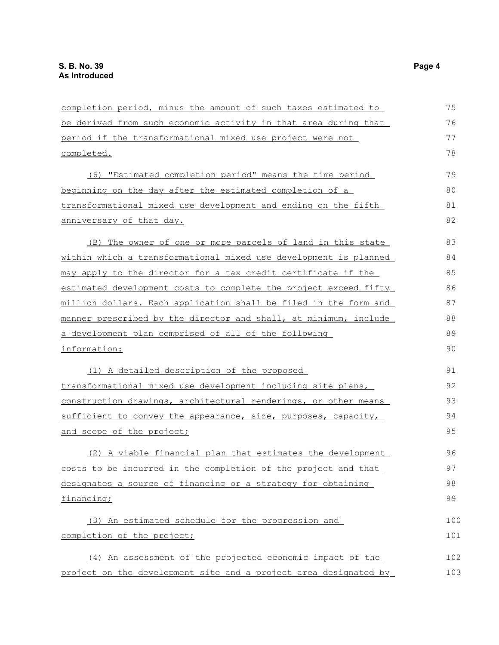| completion period, minus the amount of such taxes estimated to   | 75  |
|------------------------------------------------------------------|-----|
| be derived from such economic activity in that area during that  | 76  |
| period if the transformational mixed use project were not        | 77  |
| completed.                                                       | 78  |
| (6) "Estimated completion period" means the time period          | 79  |
| beginning on the day after the estimated completion of a         | 80  |
| transformational mixed use development and ending on the fifth   | 81  |
| anniversary of that day.                                         | 82  |
| (B) The owner of one or more parcels of land in this state       | 83  |
| within which a transformational mixed use development is planned | 84  |
| may apply to the director for a tax credit certificate if the    | 85  |
| estimated development costs to complete the project exceed fifty | 86  |
| million dollars. Each application shall be filed in the form and | 87  |
| manner prescribed by the director and shall, at minimum, include | 88  |
| a development plan comprised of all of the following             | 89  |
| information:                                                     | 90  |
| (1) A detailed description of the proposed                       | 91  |
| transformational mixed use development including site plans,     | 92  |
| construction drawings, architectural renderings, or other means  | 93  |
| sufficient to convey the appearance, size, purposes, capacity,   | 94  |
| and scope of the project;                                        | 95  |
| (2) A viable financial plan that estimates the development       | 96  |
| costs to be incurred in the completion of the project and that   | 97  |
| designates a source of financing or a strategy for obtaining     | 98  |
| financing;                                                       | 99  |
| (3) An estimated schedule for the progression and                | 100 |
| completion of the project;                                       | 101 |
| (4) An assessment of the projected economic impact of the        | 102 |
| project on the development site and a project area designated by | 103 |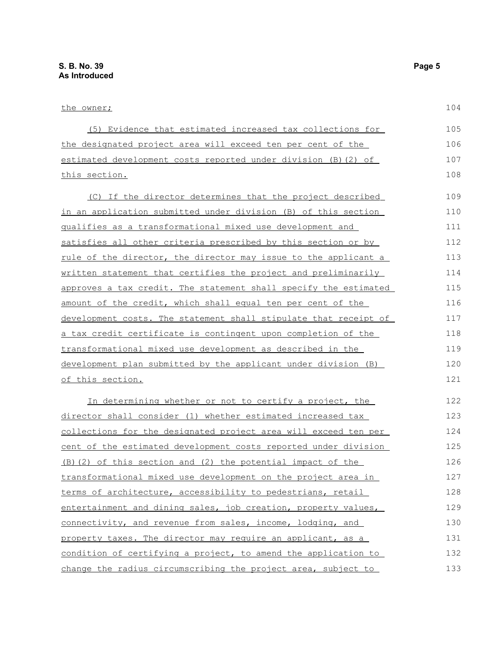| the owner;                                                             | 104 |
|------------------------------------------------------------------------|-----|
| (5) Evidence that estimated increased tax collections for              | 105 |
| the designated project area will exceed ten per cent of the            | 106 |
| estimated development costs reported under division (B) (2) of         | 107 |
| <u>this section.</u>                                                   | 108 |
| (C) If the director determines that the project described              | 109 |
| in an application submitted under division (B) of this section         | 110 |
| gualifies as a transformational mixed use development and              | 111 |
| satisfies all other criteria prescribed by this section or by          | 112 |
| <u>rule of the director, the director may issue to the applicant a</u> | 113 |
| written statement that certifies the project and preliminarily         | 114 |
| approves a tax credit. The statement shall specify the estimated       | 115 |
| amount of the credit, which shall equal ten per cent of the            | 116 |
| development costs. The statement shall stipulate that receipt of       | 117 |
| a tax credit certificate is contingent upon completion of the          | 118 |
| transformational mixed use development as described in the             | 119 |
| development plan submitted by the applicant under division (B)         | 120 |
| <u>of this section.</u>                                                | 121 |
| In determining whether or not to certify a project, the                | 122 |
| director shall consider (1) whether estimated increased tax            | 123 |
| collections for the designated project area will exceed ten per        | 124 |
| <u>cent of the estimated development costs reported under division</u> | 125 |
| (B) (2) of this section and (2) the potential impact of the            | 126 |
| transformational mixed use development on the project area in          | 127 |
| terms of architecture, accessibility to pedestrians, retail            | 128 |
| entertainment and dining sales, job creation, property values,         | 129 |
| connectivity, and revenue from sales, income, lodging, and             | 130 |
| property taxes. The director may require an applicant, as a            | 131 |
| condition of certifying a project, to amend the application to         | 132 |
| change the radius circumscribing the project area, subject to          | 133 |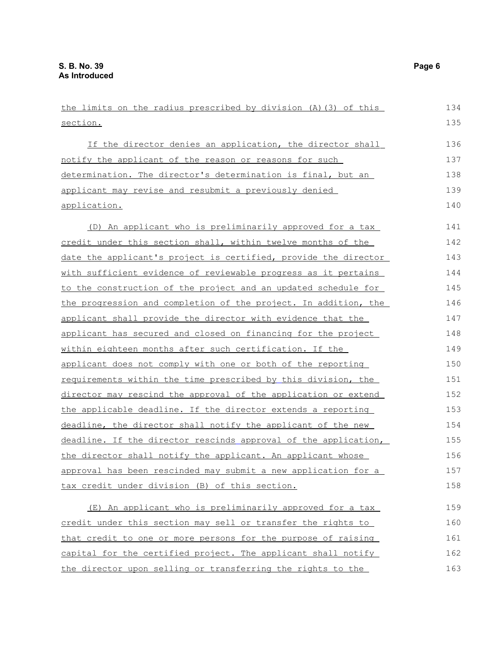the limits on the radius prescribed by division (A)(3) of this section. If the director denies an application, the director shall notify the applicant of the reason or reasons for such determination. The director's determination is final, but an applicant may revise and resubmit a previously denied application. (D) An applicant who is preliminarily approved for a tax credit under this section shall, within twelve months of the date the applicant's project is certified, provide the director with sufficient evidence of reviewable progress as it pertains to the construction of the project and an updated schedule for the progression and completion of the project. In addition, the applicant shall provide the director with evidence that the applicant has secured and closed on financing for the project within eighteen months after such certification. If the applicant does not comply with one or both of the reporting requirements within the time prescribed by this division, the director may rescind the approval of the application or extend the applicable deadline. If the director extends a reporting deadline, the director shall notify the applicant of the new deadline. If the director rescinds approval of the application, the director shall notify the applicant. An applicant whose approval has been rescinded may submit a new application for a tax credit under division (B) of this section. (E) An applicant who is preliminarily approved for a tax credit under this section may sell or transfer the rights to that credit to one or more persons for the purpose of raising capital for the certified project. The applicant shall notify 134 135 136 137 138 139 140 141 142 143 144 145 146 147 148 149 150 151 152 153 154 155 156 157 158 159 160 161 162

the director upon selling or transferring the rights to the

163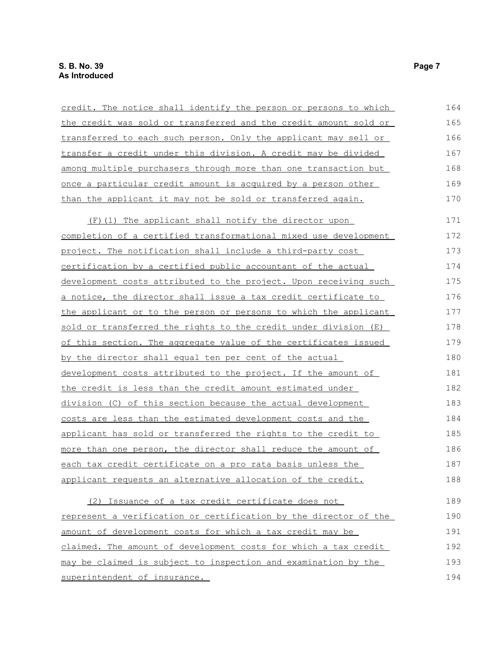| credit. The notice shall identify the person or persons to which        | 164 |
|-------------------------------------------------------------------------|-----|
| the credit was sold or transferred and the credit amount sold or        | 165 |
| transferred to each such person. Only the applicant may sell or         | 166 |
| transfer a credit under this division. A credit may be divided          | 167 |
| among multiple purchasers through more than one transaction but         | 168 |
| <u>once a particular credit amount is acquired by a person other</u>    | 169 |
| than the applicant it may not be sold or transferred again.             | 170 |
| (F) (1) The applicant shall notify the director upon                    | 171 |
| <u>completion of a certified transformational mixed use development</u> | 172 |
| project. The notification shall include a third-party cost              | 173 |
| <u>certification by a certified public accountant of the actual</u>     | 174 |
| development costs attributed to the project. Upon receiving such        | 175 |
| a notice, the director shall issue a tax credit certificate to          | 176 |
| the applicant or to the person or persons to which the applicant        | 177 |
| sold or transferred the rights to the credit under division (E)         | 178 |
| of this section. The aggregate value of the certificates issued         | 179 |
| by the director shall equal ten per cent of the actual                  | 180 |
| development costs attributed to the project. If the amount of           | 181 |
| the credit is less than the credit amount estimated under               | 182 |
| division (C) of this section because the actual development             | 183 |
| <u>costs are less than the estimated development costs and the</u>      | 184 |
| applicant has sold or transferred the rights to the credit to           | 185 |
| more than one person, the director shall reduce the amount of           | 186 |
| each tax credit certificate on a pro rata basis unless the              | 187 |
| applicant requests an alternative allocation of the credit.             | 188 |
| (2) Issuance of a tax credit certificate does not                       | 189 |
| represent a verification or certification by the director of the        | 190 |
| amount of development costs for which a tax credit may be               | 191 |
| claimed. The amount of development costs for which a tax credit         | 192 |
| may be claimed is subject to inspection and examination by the          | 193 |
| superintendent of insurance.                                            | 194 |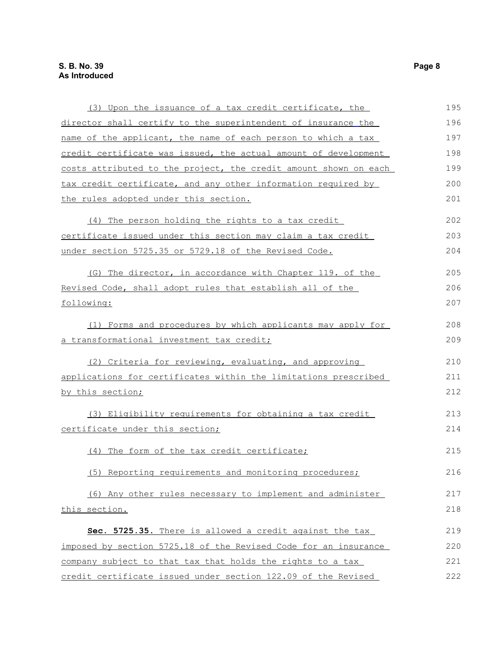| (3) Upon the issuance of a tax credit certificate, the           | 195 |
|------------------------------------------------------------------|-----|
| director shall certify to the superintendent of insurance the    | 196 |
| name of the applicant, the name of each person to which a tax    | 197 |
| credit certificate was issued, the actual amount of development  | 198 |
| costs attributed to the project, the credit amount shown on each | 199 |
| tax credit certificate, and any other information required by    | 200 |
| <u>the rules adopted under this section.</u>                     | 201 |
| (4) The person holding the rights to a tax credit                | 202 |
| certificate issued under this section may claim a tax credit     | 203 |
| under section 5725.35 or 5729.18 of the Revised Code.            | 204 |
| (G) The director, in accordance with Chapter 119. of the         | 205 |
| Revised Code, shall adopt rules that establish all of the        | 206 |
| following:                                                       | 207 |
| (1) Forms and procedures by which applicants may apply for       | 208 |
| a transformational investment tax credit;                        | 209 |
| (2) Criteria for reviewing, evaluating, and approving            | 210 |
| applications for certificates within the limitations prescribed  | 211 |
| by this section;                                                 | 212 |
| (3) Eligibility requirements for obtaining a tax credit          | 213 |
| certificate under this section;                                  | 214 |
| (4) The form of the tax credit certificate;                      | 215 |
| (5) Reporting requirements and monitoring procedures;            | 216 |
| (6) Any other rules necessary to implement and administer        | 217 |
| this section.                                                    | 218 |
| Sec. 5725.35. There is allowed a credit against the tax          | 219 |
| imposed by section 5725.18 of the Revised Code for an insurance  | 220 |
| company subject to that tax that holds the rights to a tax       | 221 |
| credit certificate issued under section 122.09 of the Revised    | 222 |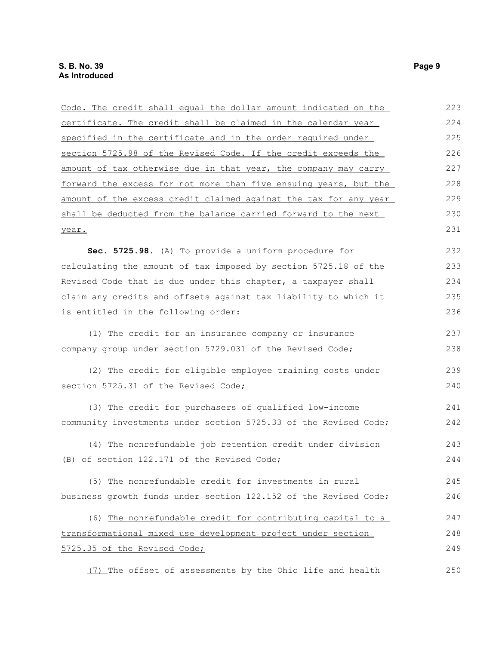| Code. The credit shall equal the dollar amount indicated on the  | 223 |
|------------------------------------------------------------------|-----|
| certificate. The credit shall be claimed in the calendar year    | 224 |
| specified in the certificate and in the order required under     | 225 |
| section 5725.98 of the Revised Code. If the credit exceeds the   | 226 |
| amount of tax otherwise due in that year, the company may carry  | 227 |
| forward the excess for not more than five ensuing years, but the | 228 |
| amount of the excess credit claimed against the tax for any year | 229 |
| shall be deducted from the balance carried forward to the next   | 230 |
| year.                                                            | 231 |
| Sec. 5725.98. (A) To provide a uniform procedure for             | 232 |
| calculating the amount of tax imposed by section 5725.18 of the  | 233 |
| Revised Code that is due under this chapter, a taxpayer shall    | 234 |
| claim any credits and offsets against tax liability to which it  | 235 |
| is entitled in the following order:                              | 236 |
| (1) The credit for an insurance company or insurance             | 237 |
| company group under section 5729.031 of the Revised Code;        | 238 |
| (2) The credit for eligible employee training costs under        | 239 |
| section 5725.31 of the Revised Code;                             | 240 |
| (3) The credit for purchasers of qualified low-income            | 241 |
| community investments under section 5725.33 of the Revised Code; | 242 |
| (4) The nonrefundable job retention credit under division        | 243 |
| (B) of section 122.171 of the Revised Code;                      | 244 |
| (5) The nonrefundable credit for investments in rural            | 245 |
| business growth funds under section 122.152 of the Revised Code; | 246 |
| (6) The nonrefundable credit for contributing capital to a       | 247 |
| transformational mixed use development project under section     | 248 |
| 5725.35 of the Revised Code;                                     | 249 |
| (7) The offset of assessments by the Ohio life and health        | 250 |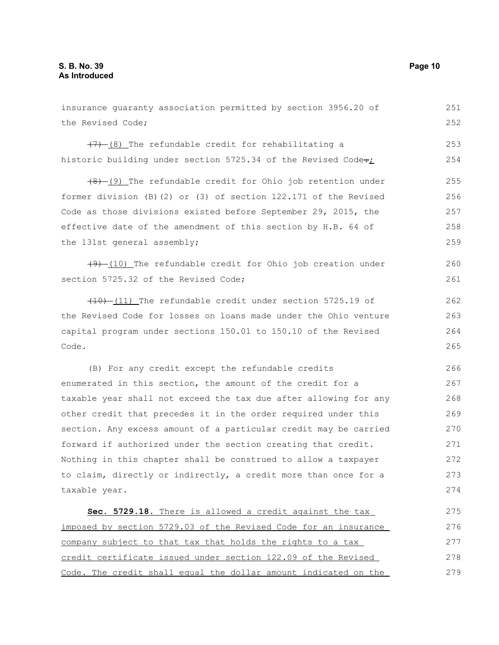the Revised Code;  $(7)$  (8) The refundable credit for rehabilitating a historic building under section 5725.34 of the Revised Code- $\frac{1}{2}$  $(8)$  (9) The refundable credit for Ohio job retention under former division (B)(2) or (3) of section 122.171 of the Revised Code as those divisions existed before September 29, 2015, the effective date of the amendment of this section by H.B. 64 of the 131st general assembly;  $(9)$  (10) The refundable credit for Ohio job creation under section 5725.32 of the Revised Code;  $(10)$  (11) The refundable credit under section 5725.19 of the Revised Code for losses on loans made under the Ohio venture capital program under sections 150.01 to 150.10 of the Revised Code. (B) For any credit except the refundable credits enumerated in this section, the amount of the credit for a taxable year shall not exceed the tax due after allowing for any other credit that precedes it in the order required under this section. Any excess amount of a particular credit may be carried forward if authorized under the section creating that credit. Nothing in this chapter shall be construed to allow a taxpayer to claim, directly or indirectly, a credit more than once for a taxable year. **Sec. 5729.18.** There is allowed a credit against the tax imposed by section 5729.03 of the Revised Code for an insurance company subject to that tax that holds the rights to a tax credit certificate issued under section 122.09 of the Revised 252 253 254 255 256 257 258 259 260 261 262 263 264 265 266 267 268 269 270 271 272 273 274 275 276 277 278

Code. The credit shall equal the dollar amount indicated on the

insurance guaranty association permitted by section 3956.20 of

251

279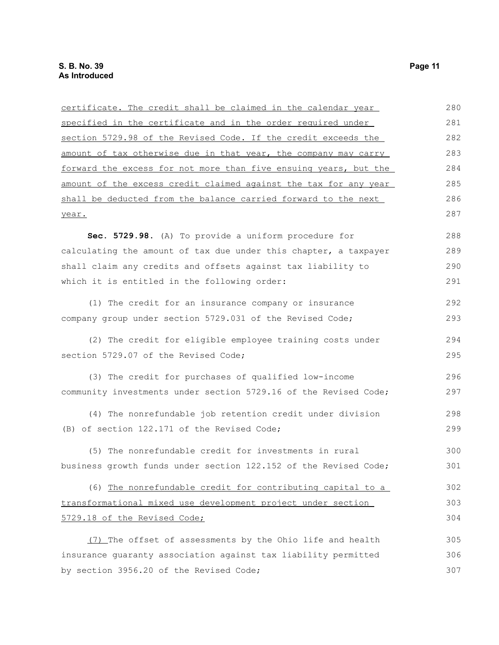| certificate. The credit shall be claimed in the calendar year    | 280 |
|------------------------------------------------------------------|-----|
| specified in the certificate and in the order required under     | 281 |
| section 5729.98 of the Revised Code. If the credit exceeds the   | 282 |
| amount of tax otherwise due in that year, the company may carry  | 283 |
| forward the excess for not more than five ensuing years, but the | 284 |
| amount of the excess credit claimed against the tax for any year | 285 |
| shall be deducted from the balance carried forward to the next   | 286 |
| year.                                                            | 287 |
| Sec. 5729.98. (A) To provide a uniform procedure for             | 288 |
| calculating the amount of tax due under this chapter, a taxpayer | 289 |
| shall claim any credits and offsets against tax liability to     | 290 |
| which it is entitled in the following order:                     | 291 |
| (1) The credit for an insurance company or insurance             | 292 |
| company group under section 5729.031 of the Revised Code;        | 293 |
| (2) The credit for eligible employee training costs under        | 294 |
| section 5729.07 of the Revised Code;                             | 295 |
| (3) The credit for purchases of qualified low-income             | 296 |
| community investments under section 5729.16 of the Revised Code; | 297 |
| (4) The nonrefundable job retention credit under division        | 298 |
| (B) of section 122.171 of the Revised Code;                      | 299 |
| (5) The nonrefundable credit for investments in rural            | 300 |
| business growth funds under section 122.152 of the Revised Code; | 301 |
| (6) The nonrefundable credit for contributing capital to a       | 302 |
| transformational mixed use development project under section     | 303 |
| 5729.18 of the Revised Code;                                     | 304 |
| (7) The offset of assessments by the Ohio life and health        | 305 |
| insurance quaranty association against tax liability permitted   | 306 |
| by section 3956.20 of the Revised Code;                          | 307 |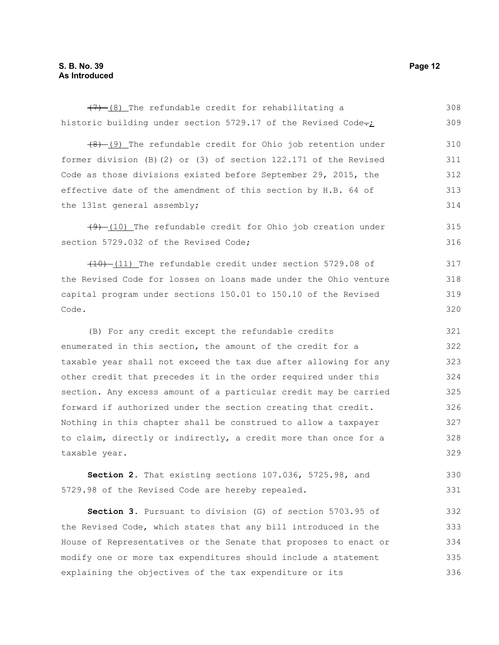historic building under section 5729.17 of the Revised Code-; (8) (9) The refundable credit for Ohio job retention under former division (B)(2) or (3) of section 122.171 of the Revised Code as those divisions existed before September 29, 2015, the effective date of the amendment of this section by H.B. 64 of the 131st general assembly;  $(9)$   $(10)$  The refundable credit for Ohio job creation under section 5729.032 of the Revised Code; (10) (11) The refundable credit under section 5729.08 of the Revised Code for losses on loans made under the Ohio venture capital program under sections 150.01 to 150.10 of the Revised Code. (B) For any credit except the refundable credits enumerated in this section, the amount of the credit for a taxable year shall not exceed the tax due after allowing for any other credit that precedes it in the order required under this section. Any excess amount of a particular credit may be carried forward if authorized under the section creating that credit. Nothing in this chapter shall be construed to allow a taxpayer to claim, directly or indirectly, a credit more than once for a taxable year. **Section 2.** That existing sections 107.036, 5725.98, and 5729.98 of the Revised Code are hereby repealed. **Section 3.** Pursuant to division (G) of section 5703.95 of the Revised Code, which states that any bill introduced in the House of Representatives or the Senate that proposes to enact or modify one or more tax expenditures should include a statement 309 310 311 312 313 314 315 316 317 318 319 320 321 322 323 324 325 326 327 328 329 330 331 332 333 334 335

explaining the objectives of the tax expenditure or its

 $(7)$  (8) The refundable credit for rehabilitating a

308

336